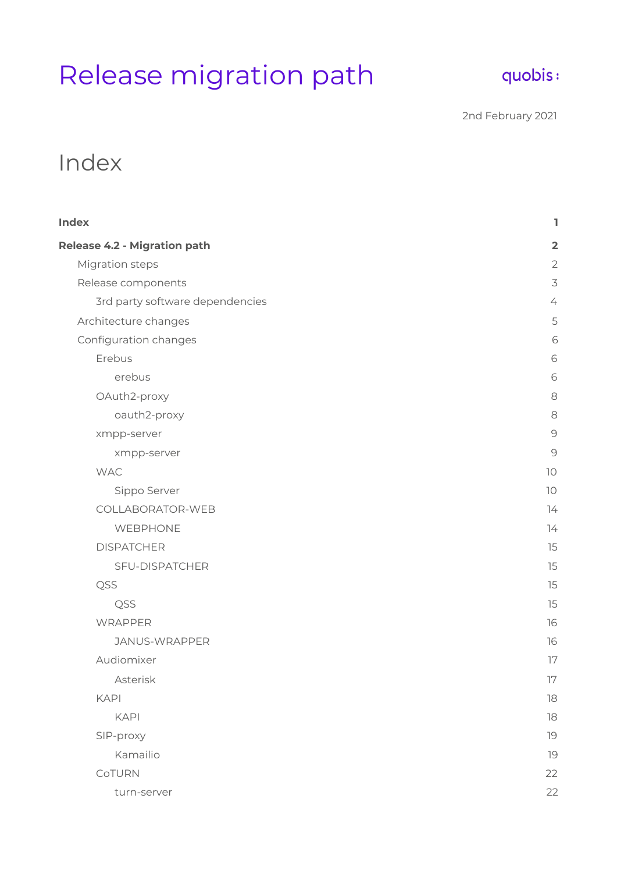# Release migration path

# quobis:

2nd February 2021

# <span id="page-0-0"></span>Index

| <b>Index</b>                    | ı                        |
|---------------------------------|--------------------------|
| Release 4.2 - Migration path    | $\overline{2}$           |
| Migration steps                 | $\mathbf{2}$             |
| Release components              | $\overline{\mathcal{S}}$ |
| 3rd party software dependencies | $\angle$                 |
| Architecture changes            | 5                        |
| Configuration changes           | 6                        |
| Erebus                          | 6                        |
| erebus                          | 6                        |
| OAuth2-proxy                    | 8                        |
| oauth2-proxy                    | 8                        |
| xmpp-server                     | $\Theta$                 |
| xmpp-server                     | $\mathcal{Q}$            |
| <b>WAC</b>                      | 10                       |
| Sippo Server                    | 10                       |
| COLLABORATOR-WEB                | 74                       |
| WEBPHONE                        | 14                       |
| <b>DISPATCHER</b>               | 15                       |
| SFU-DISPATCHER                  | 15                       |
| QSS                             | 15                       |
| QSS                             | 15                       |
| WRAPPER                         | 16                       |
| JANUS-WRAPPER                   | 16                       |
| Audiomixer                      | 17                       |
| Asterisk                        | $17\,$                   |
| <b>KAPI</b>                     | $18\,$                   |
| <b>KAPI</b>                     | 18                       |
| SIP-proxy                       | 19                       |
| Kamailio                        | 19                       |
| CoTURN                          | 22                       |
| turn-server                     | 22                       |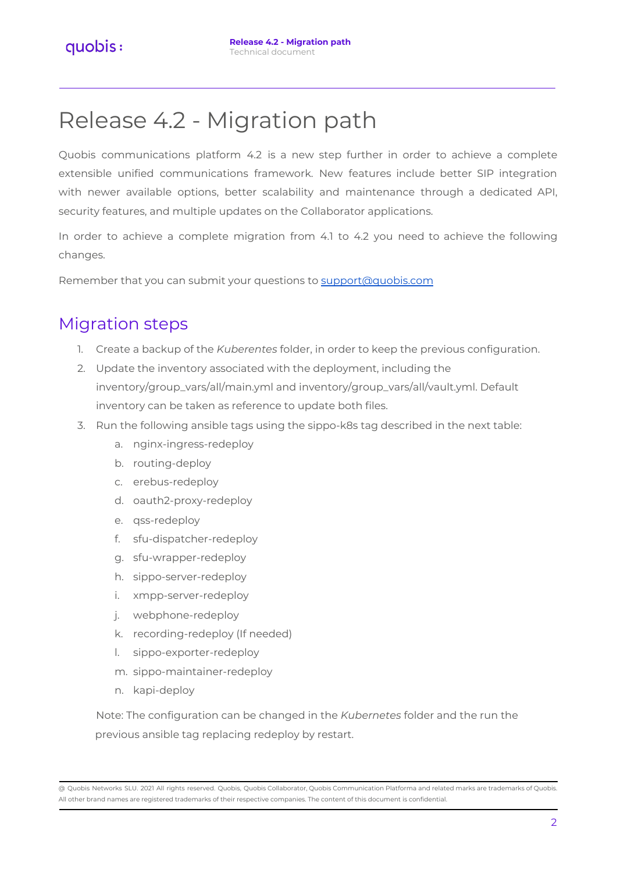# <span id="page-1-0"></span>Release 4.2 - Migration path

Quobis communications platform 4.2 is a new step further in order to achieve a complete extensible unified communications framework. New features include better SIP integration with newer available options, better scalability and maintenance through a dedicated API, security features, and multiple updates on the Collaborator applications.

In order to achieve a complete migration from 4.1 to 4.2 you need to achieve the following changes.

Remember that you can submit your questions to [support@quobis.com](mailto:support@quobis.com)

# <span id="page-1-1"></span>Migration steps

- 1. Create a backup of the *Kuberentes* folder, in order to keep the previous configuration.
- 2. Update the inventory associated with the deployment, including the inventory/group\_vars/all/main.yml and inventory/group\_vars/all/vault.yml. Default inventory can be taken as reference to update both files.
- 3. Run the following ansible tags using the sippo-k8s tag described in the next table:
	- a. nginx-ingress-redeploy
	- b. routing-deploy
	- c. erebus-redeploy
	- d. oauth2-proxy-redeploy
	- e. qss-redeploy
	- f. sfu-dispatcher-redeploy
	- g. sfu-wrapper-redeploy
	- h. sippo-server-redeploy
	- i. xmpp-server-redeploy
	- j. webphone-redeploy
	- k. recording-redeploy (If needed)
	- l. sippo-exporter-redeploy
	- m. sippo-maintainer-redeploy
	- n. kapi-deploy

Note: The configuration can be changed in the *Kubernetes* folder and the run the previous ansible tag replacing redeploy by restart.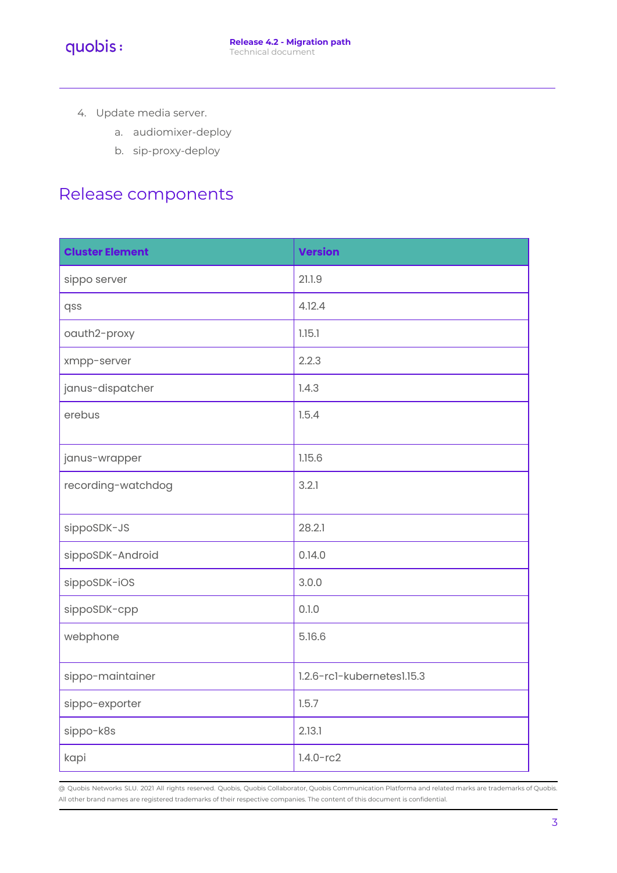- 4. Update media server.
	- a. audiomixer-deploy
	- b. sip-proxy-deploy

# <span id="page-2-0"></span>Release components

| <b>Cluster Element</b> | <b>Version</b>             |
|------------------------|----------------------------|
| sippo server           | 21.1.9                     |
| qss                    | 4.12.4                     |
| oauth2-proxy           | 1.15.1                     |
| xmpp-server            | 2.2.3                      |
| janus-dispatcher       | 1.4.3                      |
| erebus                 | 1.5.4                      |
| janus-wrapper          | 1.15.6                     |
| recording-watchdog     | 3.2.1                      |
| sippoSDK-JS            | 28.2.1                     |
| sippoSDK-Android       | 0.14.0                     |
| sippoSDK-iOS           | 3.0.0                      |
| sippoSDK-cpp           | 0.1.0                      |
| webphone               | 5.16.6                     |
| sippo-maintainer       | 1.2.6-rc1-kubernetes1.15.3 |
| sippo-exporter         | 1.5.7                      |
| sippo-k8s              | 2.13.1                     |
| kapi                   | $1.4.0 - rc2$              |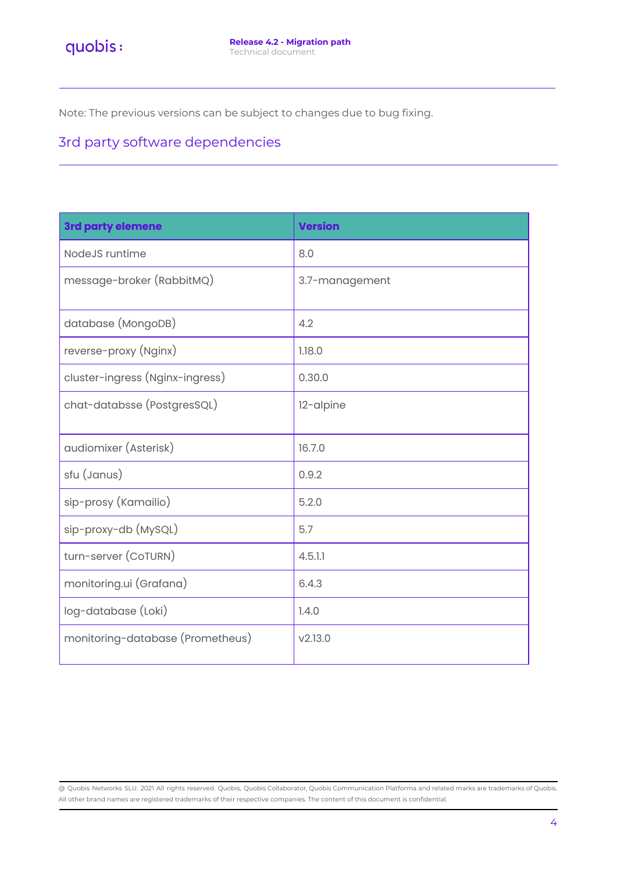<span id="page-3-0"></span>Note: The previous versions can be subject to changes due to bug fixing.

# 3rd party software dependencies

| 3rd party elemene                | <b>Version</b> |
|----------------------------------|----------------|
| NodeJS runtime                   | 8.0            |
| message-broker (RabbitMQ)        | 3.7-management |
| database (MongoDB)               | 4.2            |
| reverse-proxy (Nginx)            | 1.18.0         |
| cluster-ingress (Nginx-ingress)  | 0.30.0         |
| chat-databsse (PostgresSQL)      | 12-alpine      |
| audiomixer (Asterisk)            | 16.7.0         |
| sfu (Janus)                      | 0.9.2          |
| sip-prosy (Kamailio)             | 5.2.0          |
| sip-proxy-db (MySQL)             | 5.7            |
| turn-server (CoTURN)             | 4.5.1.1        |
| monitoring.ui (Grafana)          | 6.4.3          |
| log-database (Loki)              | 1.4.0          |
| monitoring-database (Prometheus) | V2.13.0        |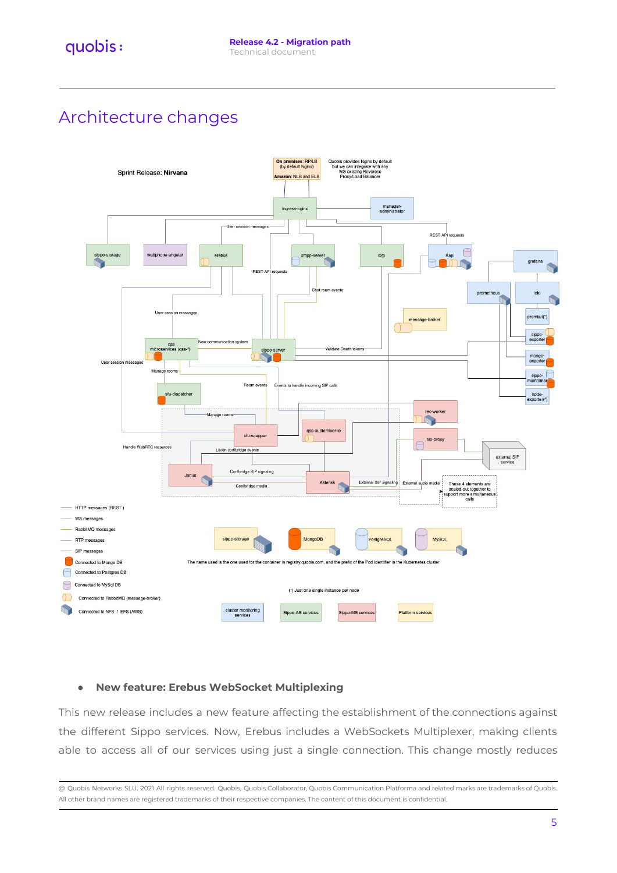# <span id="page-4-0"></span>Architecture changes



#### **● New feature: Erebus WebSocket Multiplexing**

This new release includes a new feature affecting the establishment of the connections against the different Sippo services. Now, Erebus includes a WebSockets Multiplexer, making clients able to access all of our services using just a single connection. This change mostly reduces

<sup>@</sup> Quobis Networks SLU. 2021 All rights reserved. Quobis, Quobis Collaborator, Quobis Communication Platforma and related marks are trademarks of Quobis. All other brand names are registered trademarks of their respective companies. The content of this document is confidential.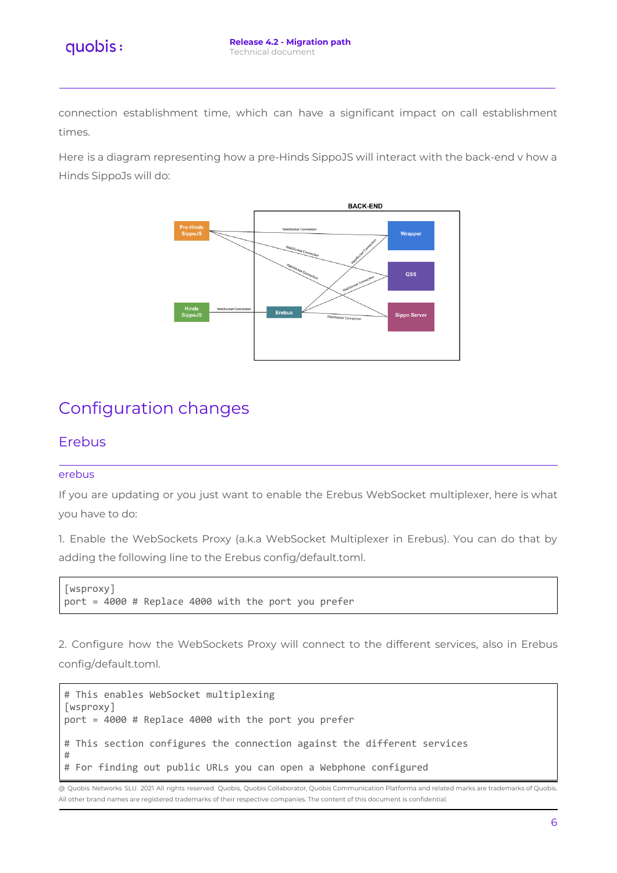connection establishment time, which can have a significant impact on call establishment times.

Here is a diagram representing how a pre-Hinds SippoJS will interact with the back-end v how a Hinds SippoJs will do:



# <span id="page-5-0"></span>Configuration changes

## <span id="page-5-1"></span>Erebus

#### <span id="page-5-2"></span>erebus

If you are updating or you just want to enable the Erebus WebSocket multiplexer, here is what you have to do:

1. Enable the WebSockets Proxy (a.k.a WebSocket Multiplexer in Erebus). You can do that by adding the following line to the Erebus config/default.toml.

```
[wsproxy]
port = 4000 # Replace 4000 with the port you prefer
```
2. Configure how the WebSockets Proxy will connect to the different services, also in Erebus config/default.toml.

```
# This enables WebSocket multiplexing
[wsproxy]
port = 4000 # Replace 4000 with the port you prefer
# This section configures the connection against the different services
#
# For finding out public URLs you can open a Webphone configured
```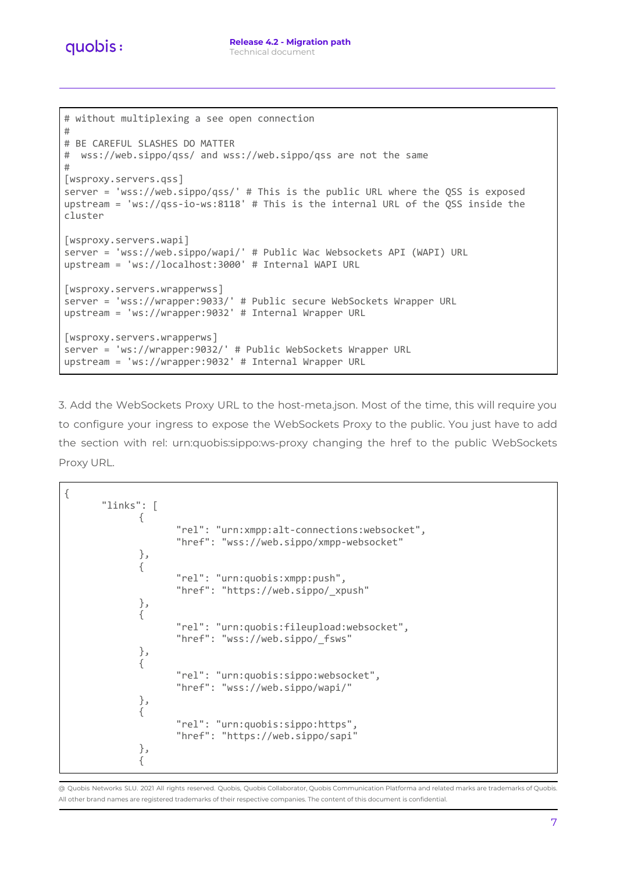```
# without multiplexing a see open connection
#
# BE CAREFUL SLASHES DO MATTER
# wss://web.sippo/qss/ and wss://web.sippo/qss are not the same
#
[wsproxy.servers.qss]
server = 'wss://web.sippo/qss/' # This is the public URL where the QSS is exposed
upstream = 'ws://qss-io-ws:8118' # This is the internal URL of the QSS inside the
cluster
[wsproxy.servers.wapi]
server = 'wss://web.sippo/wapi/' # Public Wac Websockets API (WAPI) URL
upstream = 'ws://localhost:3000' # Internal WAPI URL
[wsproxy.servers.wrapperwss]
server = 'wss://wrapper:9033/' # Public secure WebSockets Wrapper URL
upstream = 'ws://wrapper:9032' # Internal Wrapper URL
[wsproxy.servers.wrapperws]
server = 'ws://wrapper:9032/' # Public WebSockets Wrapper URL
upstream = 'ws://wrapper:9032' # Internal Wrapper URL
```
3. Add the WebSockets Proxy URL to the host-meta.json. Most of the time, this will require you to configure your ingress to expose the WebSockets Proxy to the public. You just have to add the section with rel: urn:quobis:sippo:ws-proxy changing the href to the public WebSockets Proxy URL.

```
{
      "links": [
             {
                    "rel": "urn:xmpp:alt-connections:websocket",
                    "href": "wss://web.sippo/xmpp-websocket"
             },
             {
                    "rel": "urn:quobis:xmpp:push",
                    "href": "https://web.sippo/_xpush"
             },
             {
                    "rel": "urn:quobis:fileupload:websocket",
                    "href": "wss://web.sippo/_fsws"
             },
             {
                    "rel": "urn:quobis:sippo:websocket",
                    "href": "wss://web.sippo/wapi/"
             },
             {
                    "rel": "urn:quobis:sippo:https",
                    "href": "https://web.sippo/sapi"
             },
             {
```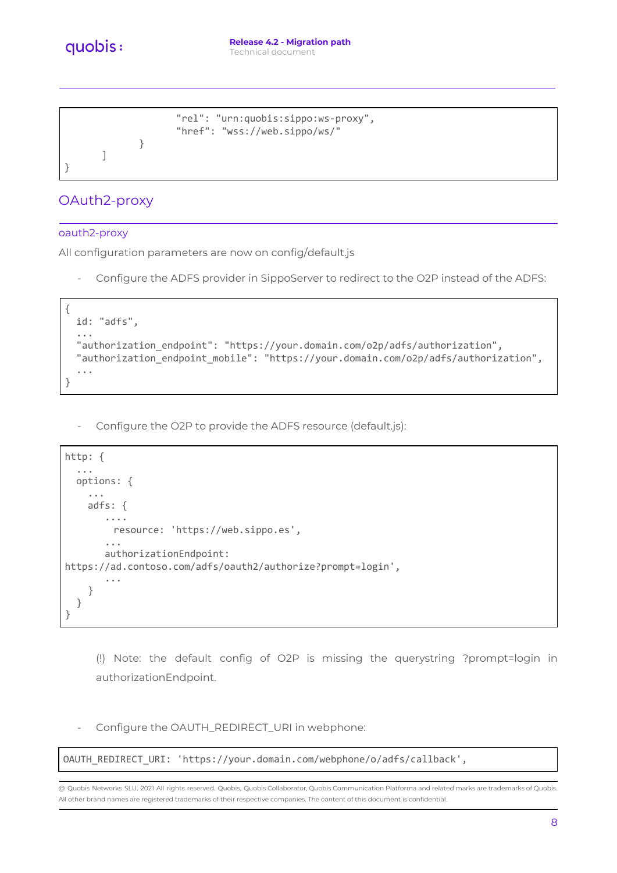quobis:

```
"rel": "urn:quobis:sippo:ws-proxy",
                    "href": "wss://web.sippo/ws/"
             }
      ]
}
```
## <span id="page-7-0"></span>OAuth2-proxy

#### <span id="page-7-1"></span>oauth2-proxy

All configuration parameters are now on config/default.js

Configure the ADFS provider in SippoServer to redirect to the O2P instead of the ADFS:

```
{
 id: "adfs",
  ...
 "authorization_endpoint": "https://your.domain.com/o2p/adfs/authorization",
 "authorization_endpoint_mobile": "https://your.domain.com/o2p/adfs/authorization",
  ...
}
```
- Configure the O2P to provide the ADFS resource (default.js):

```
http: {
  ...
  options: {
    ...
    adfs: {
       ....
        resource: 'https://web.sippo.es',
       ...
       authorizationEndpoint:
https://ad.contoso.com/adfs/oauth2/authorize?prompt=login',
       ...
    }
  }
}
```
(!) Note: the default config of O2P is missing the querystring ?prompt=login in authorizationEndpoint.

- Configure the OAUTH\_REDIRECT\_URI in webphone:

OAUTH\_REDIRECT\_URI: 'https://your.domain.com/webphone/o/adfs/callback',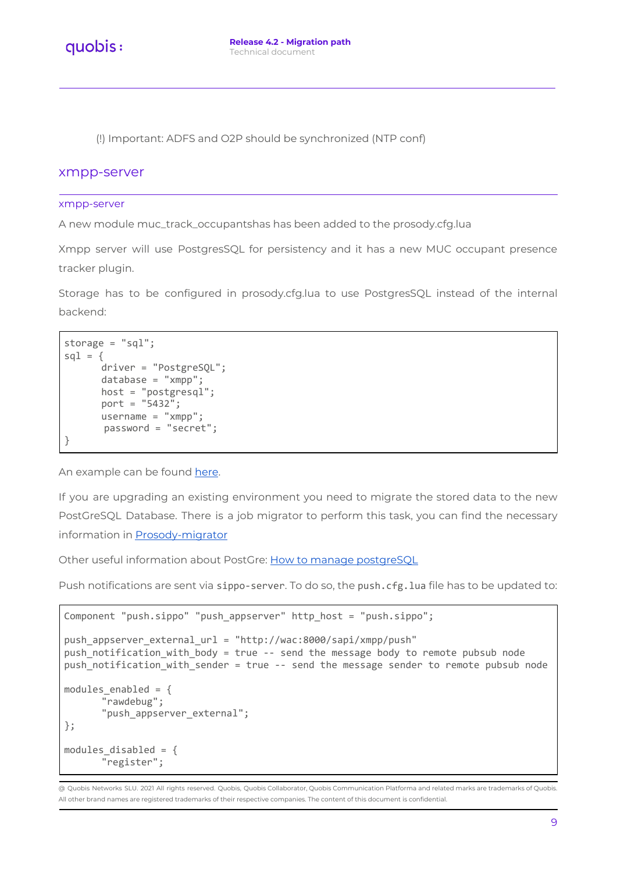(!) Important: ADFS and O2P should be synchronized (NTP conf)

#### <span id="page-8-0"></span>xmpp-server

#### <span id="page-8-1"></span>xmpp-server

A new module muc\_track\_occupantshas has been added to the prosody.cfg.lua

Xmpp server will use PostgresSQL for persistency and it has a new MUC occupant presence tracker plugin.

Storage has to be configured in prosody.cfg.lua to use PostgresSQL instead of the internal backend:

```
storage = "sql";
sq1 = \{driver = "PostgreSQL";
      database = "xmpp";
      host = "postgresql";
      port = "5432";
      username = "xmpp":password = "secret";
}
```
An example can be found [here](https://bitbucket.org/quobisdevteam/sippo-server/pull-requests/1132).

If you are upgrading an existing environment you need to migrate the stored data to the new PostGreSQL Database. There is a job migrator to perform this task, you can find the necessary information in [Prosody-migrator](https://quobis.atlassian.net/wiki/spaces/DEVOPS/pages/1759740222/Prosody-migrator)

Other useful information about PostGre: How to manage [postgreSQL](https://quobis.atlassian.net/wiki/spaces/DEVOPS/pages/1770979355/How+to+manage+postgreSQL)

Push notifications are sent via sippo-server. To do so, the push.cfg.lua file has to be updated to:

```
Component "push.sippo" "push_appserver" http_host = "push.sippo";
push_appserver_external_url = "http://wac:8000/sapi/xmpp/push"
push_notification_with_body = true -- send the message body to remote pubsub node
push_notification_with_sender = true -- send the message sender to remote pubsub node
modules enabled = {"rawdebug";
      "push_appserver_external";
};
modules_disabled = {
      "register";
```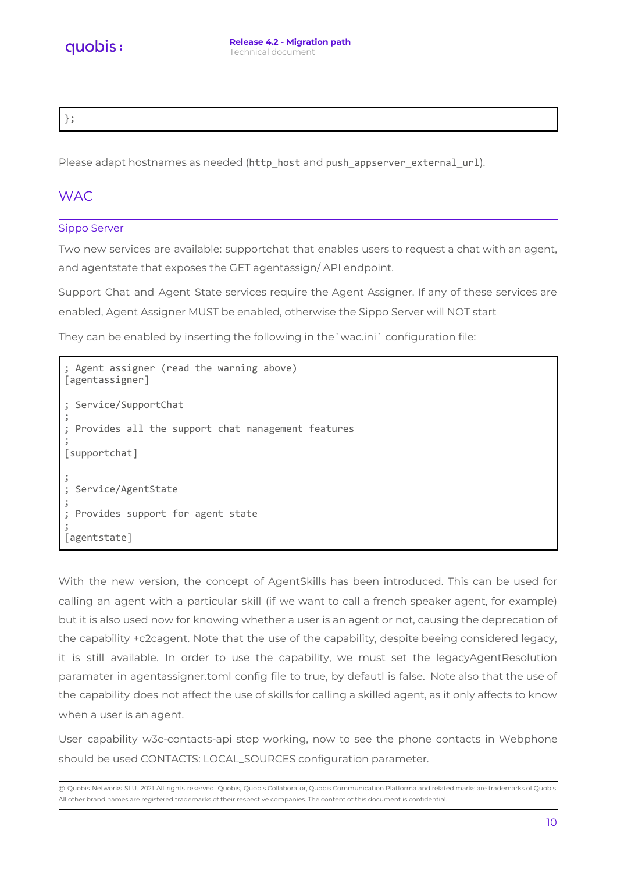};

Please adapt hostnames as needed (http\_host and push\_appserver\_external\_url).

## <span id="page-9-0"></span>**WAC**

#### <span id="page-9-1"></span>Sippo Server

Two new services are available: supportchat that enables users to request a chat with an agent, and agentstate that exposes the GET agentassign/ API endpoint.

Support Chat and Agent State services require the Agent Assigner. If any of these services are enabled, Agent Assigner MUST be enabled, otherwise the Sippo Server will NOT start

They can be enabled by inserting the following in the`wac.ini` configuration file:

```
Agent assigner (read the warning above)
[agentassigner]
; Service/SupportChat
;
; Provides all the support chat management features
;
[supportchat]
;
 Service/AgentState
;
 Provides support for agent state
;
[agentstate]
```
With the new version, the concept of AgentSkills has been introduced. This can be used for calling an agent with a particular skill (if we want to call a french speaker agent, for example) but it is also used now for knowing whether a user is an agent or not, causing the deprecation of the capability +c2cagent. Note that the use of the capability, despite beeing considered legacy, it is still available. In order to use the capability, we must set the legacyAgentResolution paramater in agentassigner.toml config file to true, by defautl is false. Note also that the use of the capability does not affect the use of skills for calling a skilled agent, as it only affects to know when a user is an agent.

User capability w3c-contacts-api stop working, now to see the phone contacts in Webphone should be used CONTACTS: LOCAL\_SOURCES configuration parameter.

<sup>@</sup> Quobis Networks SLU. 2021 All rights reserved. Quobis, Quobis Collaborator, Quobis Communication Platforma and related marks are trademarks of Quobis. All other brand names are registered trademarks of their respective companies. The content of this document is confidential.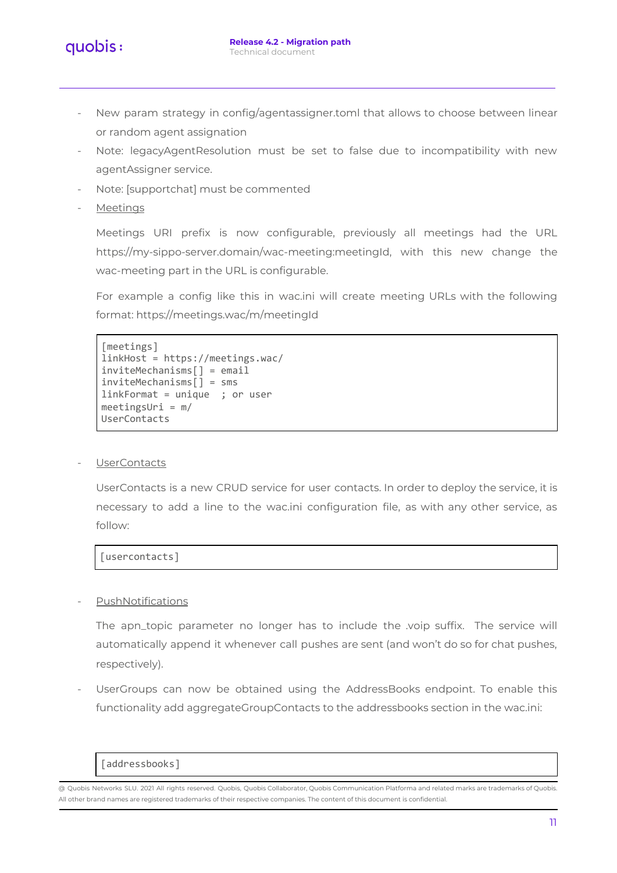

- New param strategy in config/agentassigner.toml that allows to choose between linear or random agent assignation
- Note: legacyAgentResolution must be set to false due to incompatibility with new agentAssigner service.
- Note: [supportchat] must be commented
- **Meetings**

Meetings URI prefix is now configurable, previously all meetings had the URL https://my-sippo-server.domain/wac-meeting:meetingId, with this new change the wac-meeting part in the URL is configurable.

For example a config like this in wac.ini will create meeting URLs with the following format: https://meetings.wac/m/meetingId

```
[meetings]
linkHost = https://meetings.wac/
inviteMechanisms[] = email
inviteMechanisms[] = sms
linkFormat = unique ; or user
meetingsUri = m/
UserContacts
```
#### UserContacts

UserContacts is a new CRUD service for user contacts. In order to deploy the service, it is necessary to add a line to the wac.ini configuration file, as with any other service, as follow:

[usercontacts]

#### **PushNotifications**

The apn\_topic parameter no longer has to include the .voip suffix. The service will automatically append it whenever call pushes are sent (and won't do so for chat pushes, respectively).

UserGroups can now be obtained using the AddressBooks endpoint. To enable this functionality add aggregateGroupContacts to the addressbooks section in the wac.ini:

[addressbooks]

<sup>@</sup> Quobis Networks SLU. 2021 All rights reserved. Quobis, Quobis Collaborator, Quobis Communication Platforma and related marks are trademarks of Quobis. All other brand names are registered trademarks of their respective companies. The content of this document is confidential.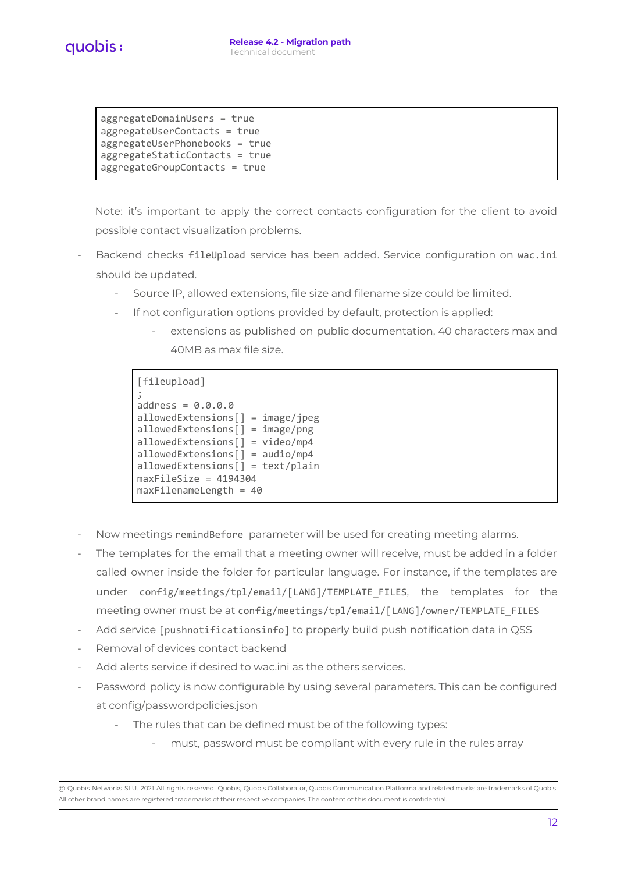aggregateDomainUsers = true aggregateUserContacts = true aggregateUserPhonebooks = true aggregateStaticContacts = true aggregateGroupContacts = true

Note: it's important to apply the correct contacts configuration for the client to avoid possible contact visualization problems.

- Backend checks fileUpload service has been added. Service configuration on wac.ini should be updated.
	- Source IP, allowed extensions, file size and filename size could be limited.
	- If not configuration options provided by default, protection is applied:
		- extensions as published on public documentation, 40 characters max and 40MB as max file size.

[fileupload] ; address = 0.0.0.0 allowedExtensions[] = image/jpeg allowedExtensions[] = image/png allowedExtensions[] = video/mp4 allowedExtensions[] = audio/mp4 allowedExtensions[] = text/plain maxFileSize = 4194304 maxFilenameLength = 40

- Now meetings remindBefore parameter will be used for creating meeting alarms.
- The templates for the email that a meeting owner will receive, must be added in a folder called owner inside the folder for particular language. For instance, if the templates are under config/meetings/tpl/email/[LANG]/TEMPLATE\_FILES, the templates for the meeting owner must be at config/meetings/tpl/email/[LANG]/owner/TEMPLATE\_FILES
- Add service [pushnotificationsinfo] to properly build push notification data in QSS
- Removal of devices contact backend
- Add alerts service if desired to wac.ini as the others services.
- Password policy is now configurable by using several parameters. This can be configured at config/passwordpolicies.json
	- The rules that can be defined must be of the following types:
		- must, password must be compliant with every rule in the rules array

<sup>@</sup> Quobis Networks SLU. 2021 All rights reserved. Quobis, Quobis Collaborator, Quobis Communication Platforma and related marks are trademarks of Quobis. All other brand names are registered trademarks of their respective companies. The content of this document is confidential.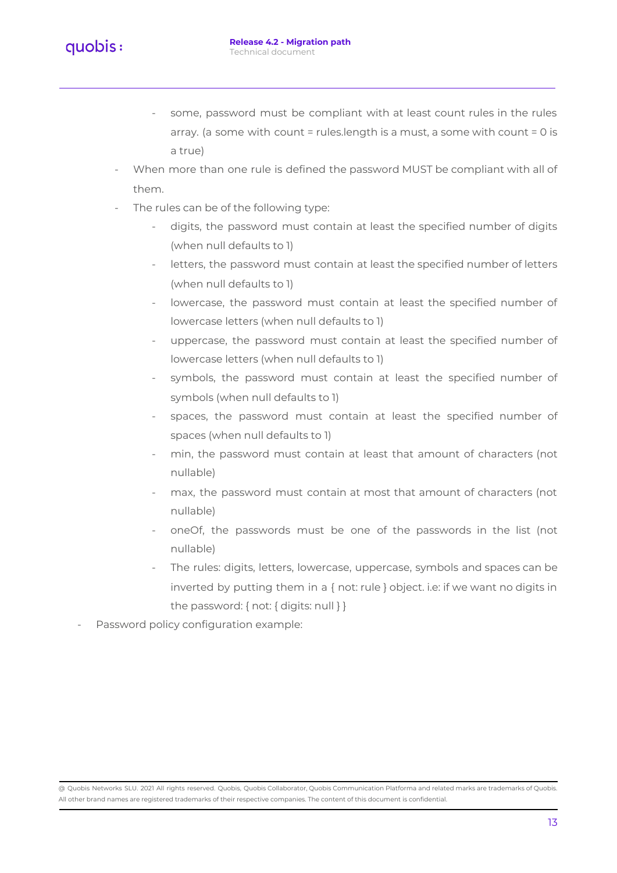

- some, password must be compliant with at least count rules in the rules array. (a some with count = rules.length is a must, a some with count = 0 is a true)
- When more than one rule is defined the password MUST be compliant with all of them.
- The rules can be of the following type:
	- digits, the password must contain at least the specified number of digits (when null defaults to 1)
	- letters, the password must contain at least the specified number of letters (when null defaults to 1)
	- lowercase, the password must contain at least the specified number of lowercase letters (when null defaults to 1)
	- uppercase, the password must contain at least the specified number of lowercase letters (when null defaults to 1)
	- symbols, the password must contain at least the specified number of symbols (when null defaults to 1)
	- spaces, the password must contain at least the specified number of spaces (when null defaults to 1)
	- min, the password must contain at least that amount of characters (not nullable)
	- max, the password must contain at most that amount of characters (not nullable)
	- oneOf, the passwords must be one of the passwords in the list (not nullable)
	- The rules: digits, letters, lowercase, uppercase, symbols and spaces can be inverted by putting them in a { not: rule } object. i.e: if we want no digits in the password: { not: { digits: null } }
- Password policy configuration example: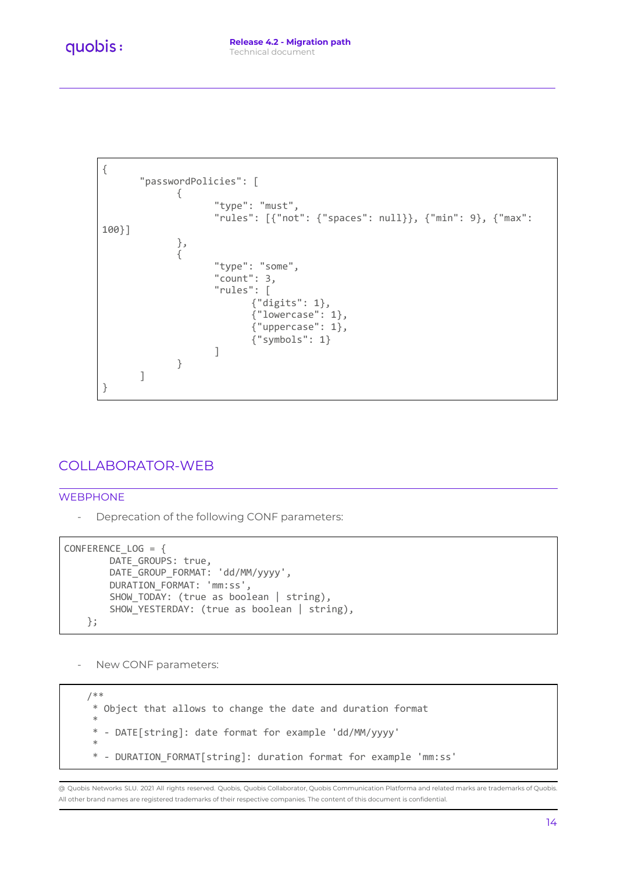```
{
       "passwordPolicies": [
             {
                    "type": "must",
                    "rules": [{"not": {"spaces": null}}, {"min": 9}, {"max":
100}]
             },
              {
                    "type": "some",
                    "count": 3,
                    "rules": [
                           {"digits": 1},
                            {"lowercase": 1},
                           {"uppercase": 1},
                           {"symbols": 1}
                    ]
             }
      ]
}
```
# <span id="page-13-0"></span>COLLABORATOR-WEB

#### <span id="page-13-1"></span>WEBPHONE

- Deprecation of the following CONF parameters:

```
CONFERENCE_LOG = {
        DATE GROUPS: true,
        DATE_GROUP_FORMAT: 'dd/MM/yyyy',
        DURATION_FORMAT: 'mm:ss',
        SHOW_TODAY: (true as boolean | string),
        SHOW_YESTERDAY: (true as boolean | string),
    };
```
- New CONF parameters:

/\*\* \* Object that allows to change the date and duration format \* \* - DATE[string]: date format for example 'dd/MM/yyyy' \* - DURATION\_FORMAT[string]: duration format for example 'mm:ss'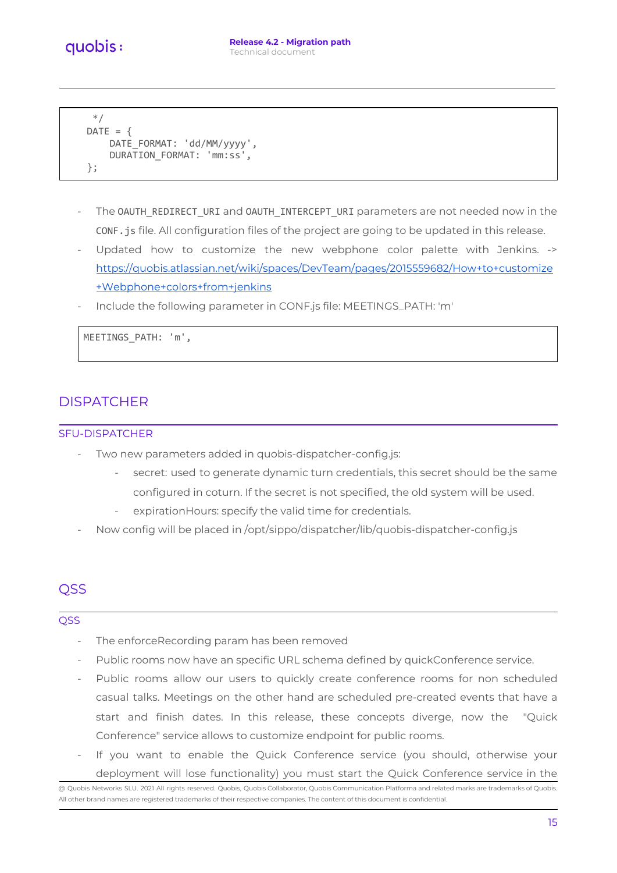```
*/
DATE = \{DATE_FORMAT: 'dd/MM/yyyy',
    DURATION_FORMAT: 'mm:ss',
};
```
- The OAUTH\_REDIRECT\_URI and OAUTH\_INTERCEPT\_URI parameters are not needed now in the CONF.js file. All configuration files of the project are going to be updated in this release.
- Updated how to customize the new webphone color palette with Jenkins. -> [https://quobis.atlassian.net/wiki/spaces/DevTeam/pages/2015559682/How+to+customize](https://quobis.atlassian.net/wiki/spaces/DevTeam/pages/2015559682/How+to+customize+Webphone+colors+from+jenkins) [+Webphone+colors+from+jenkins](https://quobis.atlassian.net/wiki/spaces/DevTeam/pages/2015559682/How+to+customize+Webphone+colors+from+jenkins)
- Include the following parameter in CONF.js file: MEETINGS\_PATH: 'm'

MEETINGS\_PATH: 'm',

## <span id="page-14-0"></span>**DISPATCHER**

#### <span id="page-14-1"></span>SFU-DISPATCHER

- Two new parameters added in quobis-dispatcher-config.js:
	- secret: used to generate dynamic turn credentials, this secret should be the same configured in coturn. If the secret is not specified, the old system will be used.
	- expirationHours: specify the valid time for credentials.
- Now config will be placed in /opt/sippo/dispatcher/lib/quobis-dispatcher-config.js

# <span id="page-14-2"></span>QSS

#### <span id="page-14-3"></span>**QSS**

- The enforceRecording param has been removed
- Public rooms now have an specific URL schema defined by quickConference service.
- Public rooms allow our users to quickly create conference rooms for non scheduled casual talks. Meetings on the other hand are scheduled pre-created events that have a start and finish dates. In this release, these concepts diverge, now the "Quick Conference" service allows to customize endpoint for public rooms.
- If you want to enable the Quick Conference service (you should, otherwise your deployment will lose functionality) you must start the Quick Conference service in the

<sup>@</sup> Quobis Networks SLU. 2021 All rights reserved. Quobis, Quobis Collaborator, Quobis Communication Platforma and related marks are trademarks of Quobis. All other brand names are registered trademarks of their respective companies. The content of this document is confidential.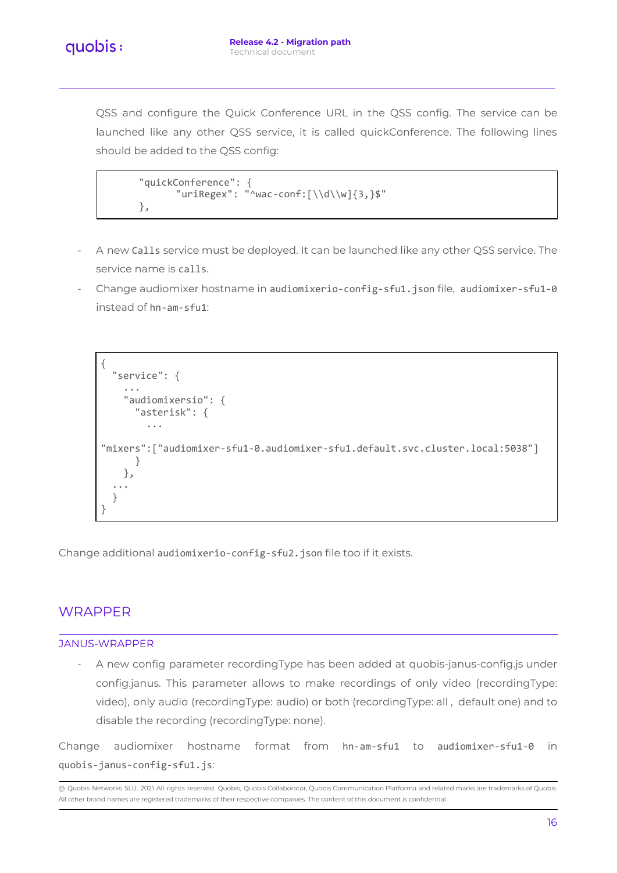QSS and configure the Quick Conference URL in the QSS config. The service can be launched like any other QSS service, it is called quickConference. The following lines should be added to the QSS config:

```
"quickConference": {
      "uriRegex": "^wac-conf:[\\d\\w]{3,}$"
},
```
- A new Calls service must be deployed. It can be launched like any other QSS service. The service name is calls.
- Change audiomixer hostname in audiomixerio-config-sfu1.json file, audiomixer-sfu1-0 instead of hn-am-sfu1:

```
{
  "service": {
    ...
    "audiomixersio": {
      "asterisk": {
        ...
"mixers":["audiomixer-sfu1-0.audiomixer-sfu1.default.svc.cluster.local:5038"]
      }
    },
  ...
  }
}
```
Change additional audiomixerio-config-sfu2.json file too if it exists.

## <span id="page-15-0"></span>**WRAPPER**

#### <span id="page-15-1"></span>JANUS-WRAPPER

A new config parameter recordingType has been added at quobis-janus-config.js under config.janus. This parameter allows to make recordings of only video (recordingType: video), only audio (recordingType: audio) or both (recordingType: all , default one) and to disable the recording (recordingType: none).

Change audiomixer hostname format from hn-am-sfu1 to audiomixer-sfu1-0 in quobis-janus-config-sfu1.js: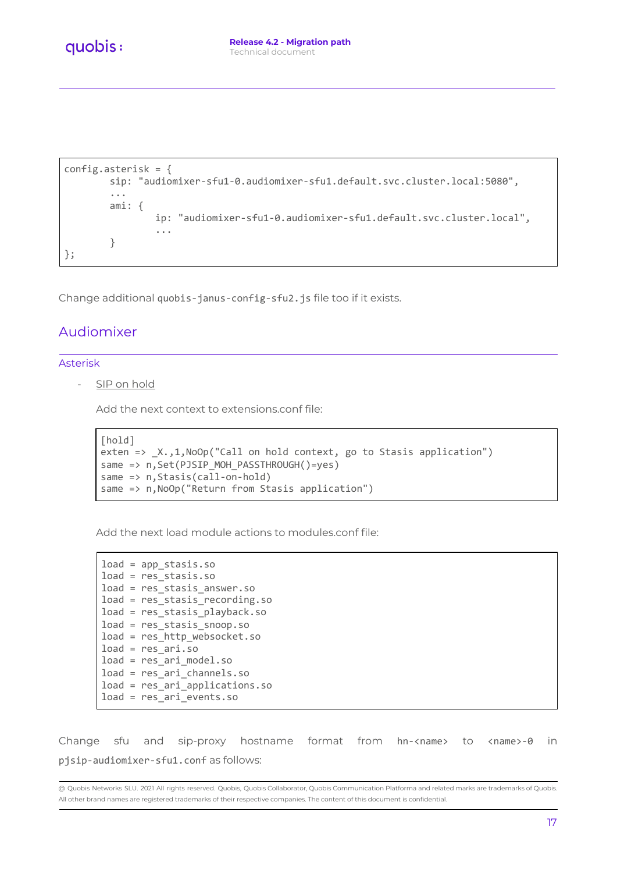```
config.asterisk = {
        sip: "audiomixer-sfu1-0.audiomixer-sfu1.default.svc.cluster.local:5080",
        ...
        ami: {
                ip: "audiomixer-sfu1-0.audiomixer-sfu1.default.svc.cluster.local",
                ...
        }
};
```
Change additional quobis-janus-config-sfu2.js file too if it exists.

### <span id="page-16-0"></span>Audiomixer

#### <span id="page-16-1"></span>Asterisk

SIP on hold

Add the next context to extensions.conf file:

```
[hold]
exten => _X.,1,NoOp("Call on hold context, go to Stasis application")
same => n,Set(PJSIP_MOH_PASSTHROUGH()=yes)
same => n,Stasis(call-on-hold)
same => n,NoOp("Return from Stasis application")
```
Add the next load module actions to modules.conf file:

```
load = app_stasis.so
load = res_stasis.so
load = res_stasis_answer.so
load = res_stasis_recording.so
load = res_stasis_playback.so
load = res_stasis_snoop.so
load = res_http_websocket.so
load = res_ari.so
load = res_ari_model.so
load = res_ari_channels.so
load = res_ari_applications.so
load = res_ari_events.so
```
Change sfu and sip-proxy hostname format from hn-<name> to <name>-0 in pjsip-audiomixer-sfu1.conf as follows: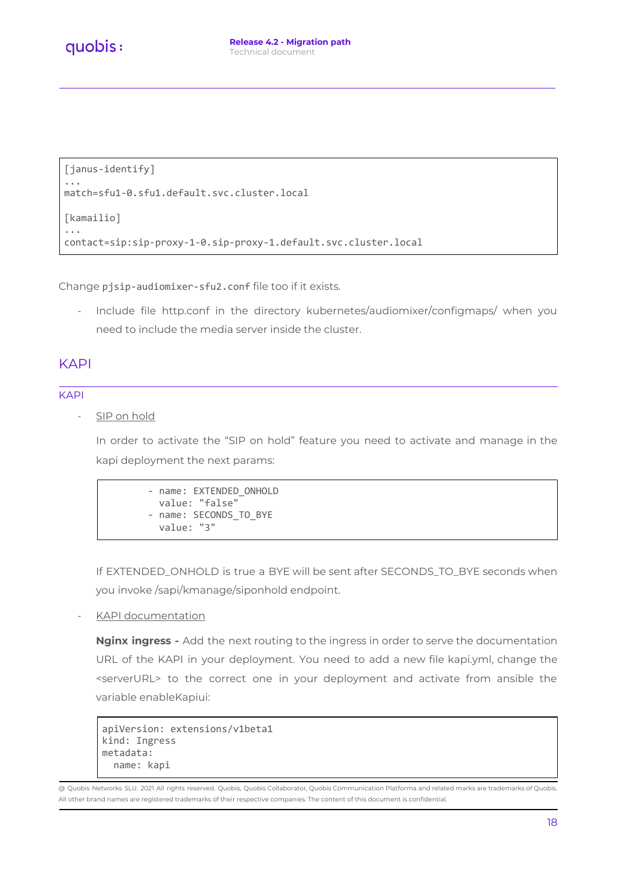```
[janus-identify]
...
match=sfu1-0.sfu1.default.svc.cluster.local
[kamailio]
...
contact=sip:sip-proxy-1-0.sip-proxy-1.default.svc.cluster.local
```
Change pjsip-audiomixer-sfu2.conf file too if it exists.

- Include file http.conf in the directory kubernetes/audiomixer/configmaps/ when you need to include the media server inside the cluster.

### <span id="page-17-0"></span>KAPI

#### <span id="page-17-1"></span>KAPI

SIP on hold

In order to activate the "SIP on hold" feature you need to activate and manage in the kapi deployment the next params:

```
- name: EXTENDED ONHOLD
 value: "false"
- name: SECONDS_TO_BYE
 value: "3"
```
If EXTENDED\_ONHOLD is true a BYE will be sent after SECONDS\_TO\_BYE seconds when you invoke /sapi/kmanage/siponhold endpoint.

KAPI documentation

**Nginx ingress -** Add the next routing to the ingress in order to serve the documentation URL of the KAPI in your deployment. You need to add a new file kapi.yml, change the <serverURL> to the correct one in your deployment and activate from ansible the variable enableKapiui:

```
apiVersion: extensions/v1beta1
kind: Ingress
metadata:
  name: kapi
```
<sup>@</sup> Quobis Networks SLU. 2021 All rights reserved. Quobis, Quobis Collaborator, Quobis Communication Platforma and related marks are trademarks of Quobis. All other brand names are registered trademarks of their respective companies. The content of this document is confidential.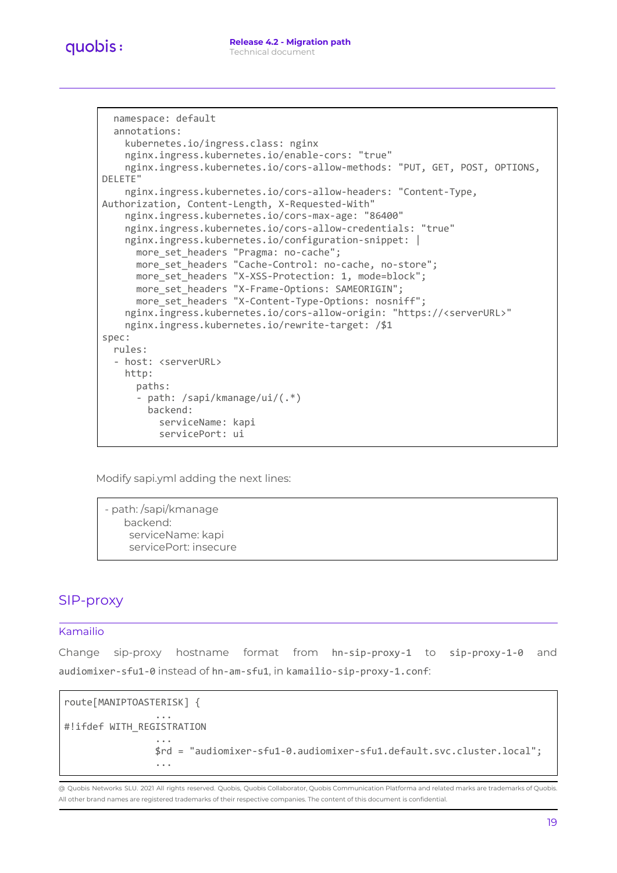```
namespace: default
  annotations:
    kubernetes.io/ingress.class: nginx
    nginx.ingress.kubernetes.io/enable-cors: "true"
    nginx.ingress.kubernetes.io/cors-allow-methods: "PUT, GET, POST, OPTIONS,
DELETE"
    nginx.ingress.kubernetes.io/cors-allow-headers: "Content-Type,
Authorization, Content-Length, X-Requested-With"
    nginx.ingress.kubernetes.io/cors-max-age: "86400"
    nginx.ingress.kubernetes.io/cors-allow-credentials: "true"
    nginx.ingress.kubernetes.io/configuration-snippet: |
      more set headers "Pragma: no-cache";
      more set headers "Cache-Control: no-cache, no-store";
      more set headers "X-XSS-Protection: 1, mode=block";
     more set headers "X-Frame-Options: SAMEORIGIN";
      more set headers "X-Content-Type-Options: nosniff";
    nginx.ingress.kubernetes.io/cors-allow-origin: "https://<serverURL>"
    nginx.ingress.kubernetes.io/rewrite-target: /$1
spec:
  rules:
  - host: <serverURL>
    http:
     paths:
      - path: /sapi/kmanage/ui/(.*)
        backend:
          serviceName: kapi
          servicePort: ui
```
Modify sapi.yml adding the next lines:

- path: /sapi/kmanage backend: serviceName: kapi servicePort: insecure

## <span id="page-18-0"></span>SIP-proxy

#### <span id="page-18-1"></span>Kamailio

Change sip-proxy hostname format from hn-sip-proxy-1 to sip-proxy-1-0 and audiomixer-sfu1-0 instead of hn-am-sfu1, in kamailio-sip-proxy-1.conf:

```
route[MANIPTOASTERISK] {
                ...
#!ifdef WITH_REGISTRATION
                ...
                $rd = "audiomixer-sfu1-0.audiomixer-sfu1.default.svc.cluster.local";
                ...
```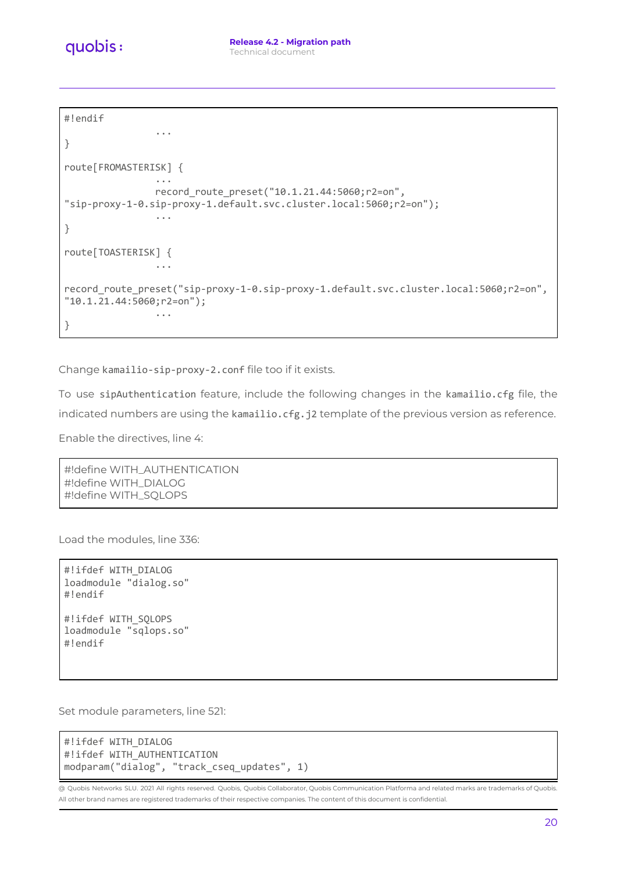```
quobis:
```

```
#!endif
```

```
...
}
route[FROMASTERISK] {
                ...
                record route preset("10.1.21.44:5060;r2=on",
"sip-proxy-1-0.sip-proxy-1.default.svc.cluster.local:5060;r2=on");
                ...
}
route[TOASTERISK] {
                ...
record_route_preset("sip-proxy-1-0.sip-proxy-1.default.svc.cluster.local:5060;r2=on",
"10.1.21.44:5060;r2=on");
                ...
}
```
Change kamailio-sip-proxy-2.conf file too if it exists.

To use sipAuthentication feature, include the following changes in the kamailio.cfg file, the indicated numbers are using the kamailio.cfg.j2 template of the previous version as reference.

Enable the directives, line 4:

```
#!define WITH_AUTHENTICATION
#!define WITH_DIALOG
#!define WITH_SQLOPS
```
Load the modules, line 336:

```
#!ifdef WITH_DIALOG
loadmodule "dialog.so"
#!endif
#!ifdef WITH_SQLOPS
loadmodule "sqlops.so"
```
#!endif

```
Set module parameters, line 521:
```

```
#!ifdef WITH_DIALOG
#!ifdef WITH AUTHENTICATION
modparam("dialog", "track_cseq_updates", 1)
```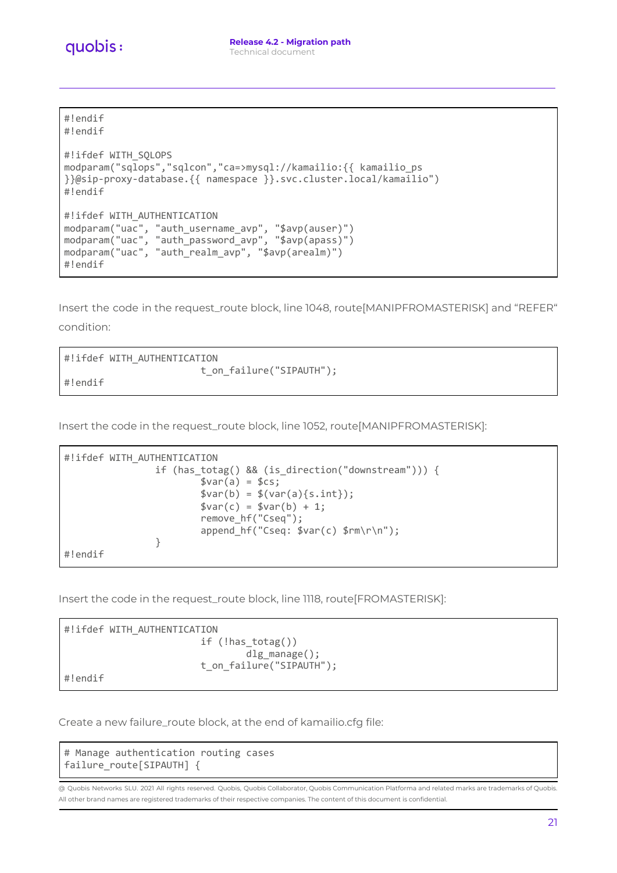

#!endif #!endif

```
#!ifdef WITH_SQLOPS
modparam("sqlops","sqlcon","ca=>mysql://kamailio:{{ kamailio_ps
}}@sip-proxy-database.{{ namespace }}.svc.cluster.local/kamailio")
#!endif
#!ifdef WITH_AUTHENTICATION
modparam("uac", "auth_username_avp", "$avp(auser)")
modparam("uac", "auth_password_avp", "$avp(apass)")
modparam("uac", "auth_realm_avp", "$avp(arealm)")
#!endif
```
Insert the code in the request\_route block, line 1048, route[MANIPFROMASTERISK] and "REFER" condition:

| #!ifdef WITH AUTHENTICATION |
|-----------------------------|
| t on failure("SIPAUTH");    |
| ∣#!endif                    |

Insert the code in the request\_route block, line 1052, route[MANIPFROMASTERISK]:

```
#!ifdef WITH AUTHENTICATION
                if (has_totag() && (is_direction("downstream"))) {
                        $var(a) = $cs;$var(b) = $(var(a){s.int}});$var(c) = $var(b) + 1;remove_hf("Cseq");
                        append_hf("Cseq: $var(c) $rm\r\n");
                }
#!endif
```
Insert the code in the request\_route block, line 1118, route[FROMASTERISK]:



#!endif

Create a new failure\_route block, at the end of kamailio.cfg file:

# Manage authentication routing cases failure\_route[SIPAUTH] {